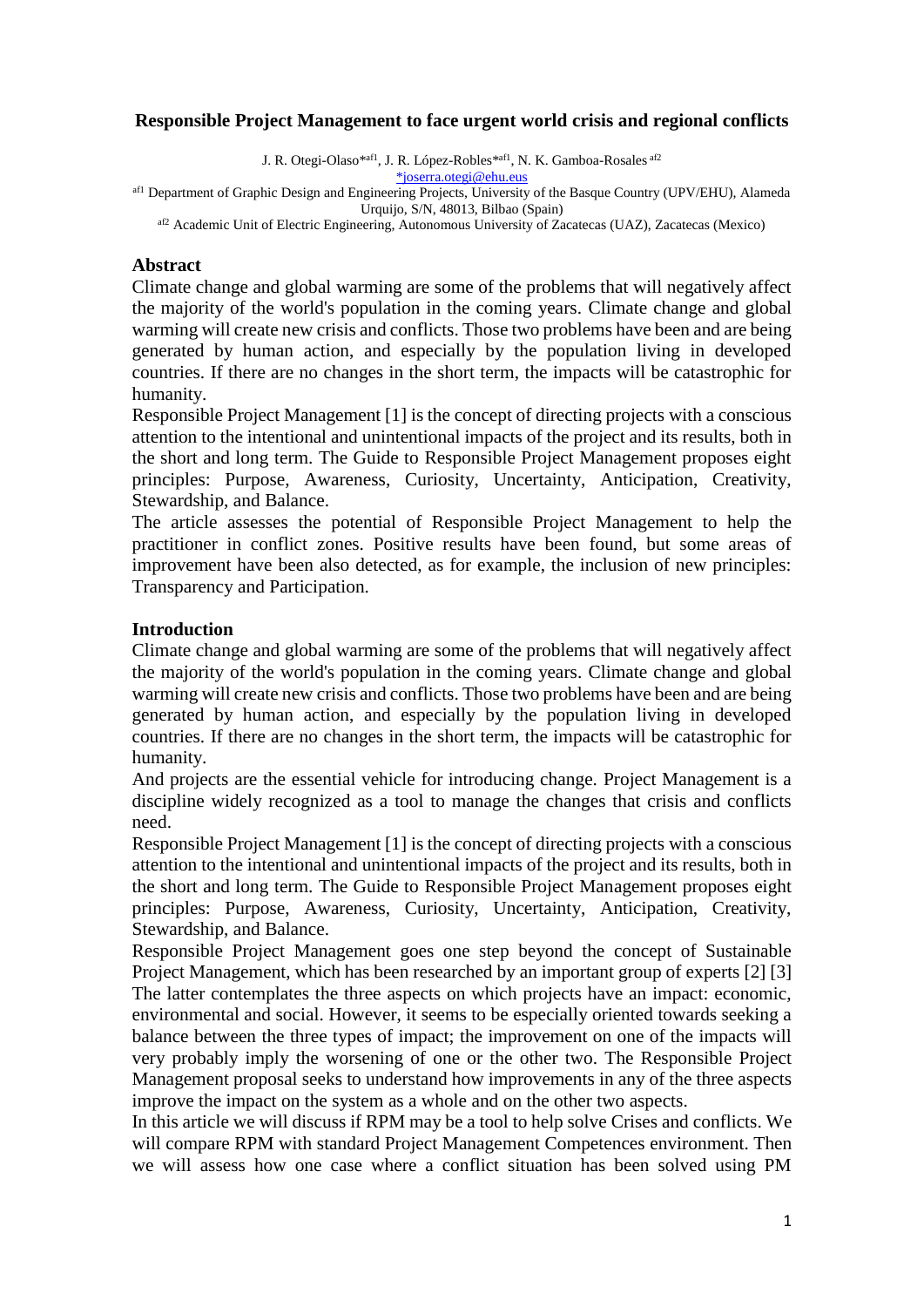# **Responsible Project Management to face urgent world crisis and regional conflicts**

J. R. Otegi-Olaso\*af1, J. R. López-Robles\*af1, N. K. Gamboa-Rosales af2

[\\*joserra.otegi@ehu.eus](mailto:*joserra.otegi@ehu.eus)

af1 Department of Graphic Design and Engineering Projects, University of the Basque Country (UPV/EHU), Alameda Urquijo, S/N, 48013, Bilbao (Spain)

af2 Academic Unit of Electric Engineering, Autonomous University of Zacatecas (UAZ), Zacatecas (Mexico)

#### **Abstract**

Climate change and global warming are some of the problems that will negatively affect the majority of the world's population in the coming years. Climate change and global warming will create new crisis and conflicts. Those two problems have been and are being generated by human action, and especially by the population living in developed countries. If there are no changes in the short term, the impacts will be catastrophic for humanity.

Responsible Project Management [1] is the concept of directing projects with a conscious attention to the intentional and unintentional impacts of the project and its results, both in the short and long term. The Guide to Responsible Project Management proposes eight principles: Purpose, Awareness, Curiosity, Uncertainty, Anticipation, Creativity, Stewardship, and Balance.

The article assesses the potential of Responsible Project Management to help the practitioner in conflict zones. Positive results have been found, but some areas of improvement have been also detected, as for example, the inclusion of new principles: Transparency and Participation.

#### **Introduction**

Climate change and global warming are some of the problems that will negatively affect the majority of the world's population in the coming years. Climate change and global warming will create new crisis and conflicts. Those two problems have been and are being generated by human action, and especially by the population living in developed countries. If there are no changes in the short term, the impacts will be catastrophic for humanity.

And projects are the essential vehicle for introducing change. Project Management is a discipline widely recognized as a tool to manage the changes that crisis and conflicts need.

Responsible Project Management [1] is the concept of directing projects with a conscious attention to the intentional and unintentional impacts of the project and its results, both in the short and long term. The Guide to Responsible Project Management proposes eight principles: Purpose, Awareness, Curiosity, Uncertainty, Anticipation, Creativity, Stewardship, and Balance.

Responsible Project Management goes one step beyond the concept of Sustainable Project Management, which has been researched by an important group of experts [2] [3] The latter contemplates the three aspects on which projects have an impact: economic, environmental and social. However, it seems to be especially oriented towards seeking a balance between the three types of impact; the improvement on one of the impacts will very probably imply the worsening of one or the other two. The Responsible Project Management proposal seeks to understand how improvements in any of the three aspects improve the impact on the system as a whole and on the other two aspects.

In this article we will discuss if RPM may be a tool to help solve Crises and conflicts. We will compare RPM with standard Project Management Competences environment. Then we will assess how one case where a conflict situation has been solved using PM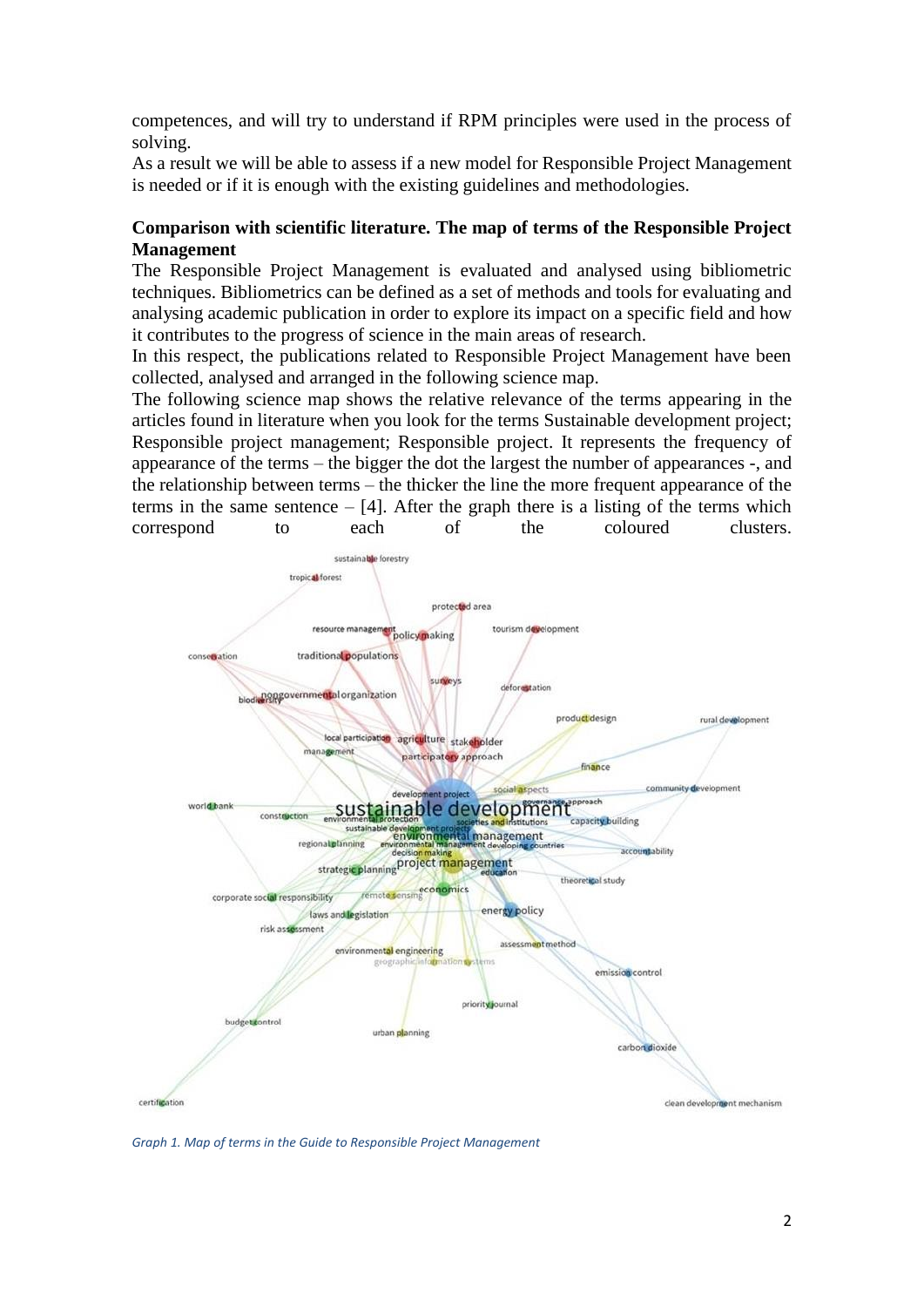competences, and will try to understand if RPM principles were used in the process of solving.

As a result we will be able to assess if a new model for Responsible Project Management is needed or if it is enough with the existing guidelines and methodologies.

## **Comparison with scientific literature. The map of terms of the Responsible Project Management**

The Responsible Project Management is evaluated and analysed using bibliometric techniques. Bibliometrics can be defined as a set of methods and tools for evaluating and analysing academic publication in order to explore its impact on a specific field and how it contributes to the progress of science in the main areas of research.

In this respect, the publications related to Responsible Project Management have been collected, analysed and arranged in the following science map.

The following science map shows the relative relevance of the terms appearing in the articles found in literature when you look for the terms Sustainable development project; Responsible project management; Responsible project. It represents the frequency of appearance of the terms – the bigger the dot the largest the number of appearances -, and the relationship between terms – the thicker the line the more frequent appearance of the terms in the same sentence  $-$  [4]. After the graph there is a listing of the terms which correspond to each of the coloured clusters.



*Graph 1. Map of terms in the Guide to Responsible Project Management*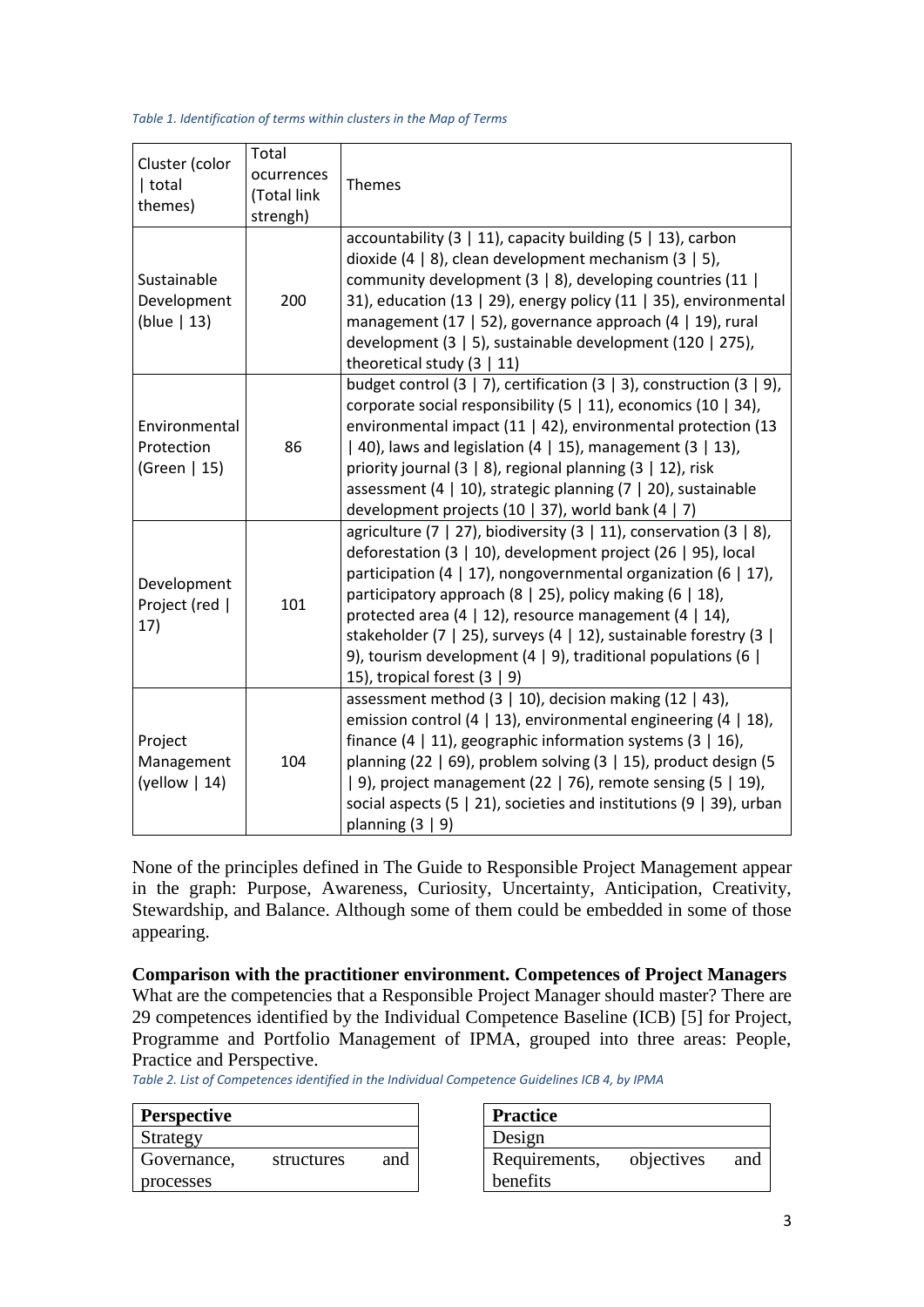*Table 1. Identification of terms within clusters in the Map of Terms* 

| Cluster (color<br>  total<br>themes)         | Total<br>ocurrences<br>(Total link<br>strengh) | Themes                                                                                                                                                                                                                                                                                                                                                                                                                                                                                                       |
|----------------------------------------------|------------------------------------------------|--------------------------------------------------------------------------------------------------------------------------------------------------------------------------------------------------------------------------------------------------------------------------------------------------------------------------------------------------------------------------------------------------------------------------------------------------------------------------------------------------------------|
| Sustainable<br>Development<br>(blue $  13$ ) | 200                                            | accountability $(3   11)$ , capacity building $(5   13)$ , carbon<br>dioxide (4   8), clean development mechanism $(3   5)$ ,<br>community development $(3   8)$ , developing countries (11  <br>31), education (13   29), energy policy (11   35), environmental<br>management (17   52), governance approach (4   19), rural<br>development (3   5), sustainable development (120   275),<br>theoretical study $(3   11)$                                                                                  |
| Environmental<br>Protection<br>(Green   15)  | 86                                             | budget control $(3   7)$ , certification $(3   3)$ , construction $(3   9)$ ,<br>corporate social responsibility $(5   11)$ , economics $(10   34)$ ,<br>environmental impact (11   42), environmental protection (13<br>  40), laws and legislation (4   15), management (3   13),<br>priority journal (3   8), regional planning (3   12), risk<br>assessment (4   10), strategic planning (7   20), sustainable<br>development projects (10   37), world bank (4   7)                                     |
| Development<br>Project (red  <br>17)         | 101                                            | agriculture (7   27), biodiversity (3   11), conservation (3   8),<br>deforestation (3 $\mid$ 10), development project (26 $\mid$ 95), local<br>participation (4   17), nongovernmental organization (6   17),<br>participatory approach (8   25), policy making (6   18),<br>protected area (4   12), resource management (4   14),<br>stakeholder (7   25), surveys (4   12), sustainable forestry (3  <br>9), tourism development (4   9), traditional populations (6  <br>15), tropical forest $(3   9)$ |
| Project<br>Management<br>(yellow $\vert$ 14) | 104                                            | assessment method $(3   10)$ , decision making $(12   43)$ ,<br>emission control (4   13), environmental engineering (4   18),<br>finance (4 $\mid$ 11), geographic information systems (3 $\mid$ 16),<br>planning (22   69), problem solving (3   15), product design (5<br>$\vert$ 9), project management (22 $\vert$ 76), remote sensing (5 $\vert$ 19),<br>social aspects $(5 \mid 21)$ , societies and institutions $(9 \mid 39)$ , urban<br>planning $(3   9)$                                         |

None of the principles defined in The Guide to Responsible Project Management appear in the graph: Purpose, Awareness, Curiosity, Uncertainty, Anticipation, Creativity, Stewardship, and Balance. Although some of them could be embedded in some of those appearing.

**Comparison with the practitioner environment. Competences of Project Managers**

What are the competencies that a Responsible Project Manager should master? There are 29 competences identified by the Individual Competence Baseline (ICB) [5] for Project, Programme and Portfolio Management of IPMA, grouped into three areas: People, Practice and Perspective.

*Table 2. List of Competences identified in the Individual Competence Guidelines ICB 4, by IPMA*

| <b>Perspective</b> |            |     | <b>Practice</b> |
|--------------------|------------|-----|-----------------|
| Strategy           |            |     | Design          |
| Governance,        | structures | and | Requirer        |
| processes          |            |     | benefits        |

| <b>Practice</b>           |            |     |
|---------------------------|------------|-----|
| Design                    |            |     |
| Requirements,<br>benefits | objectives | and |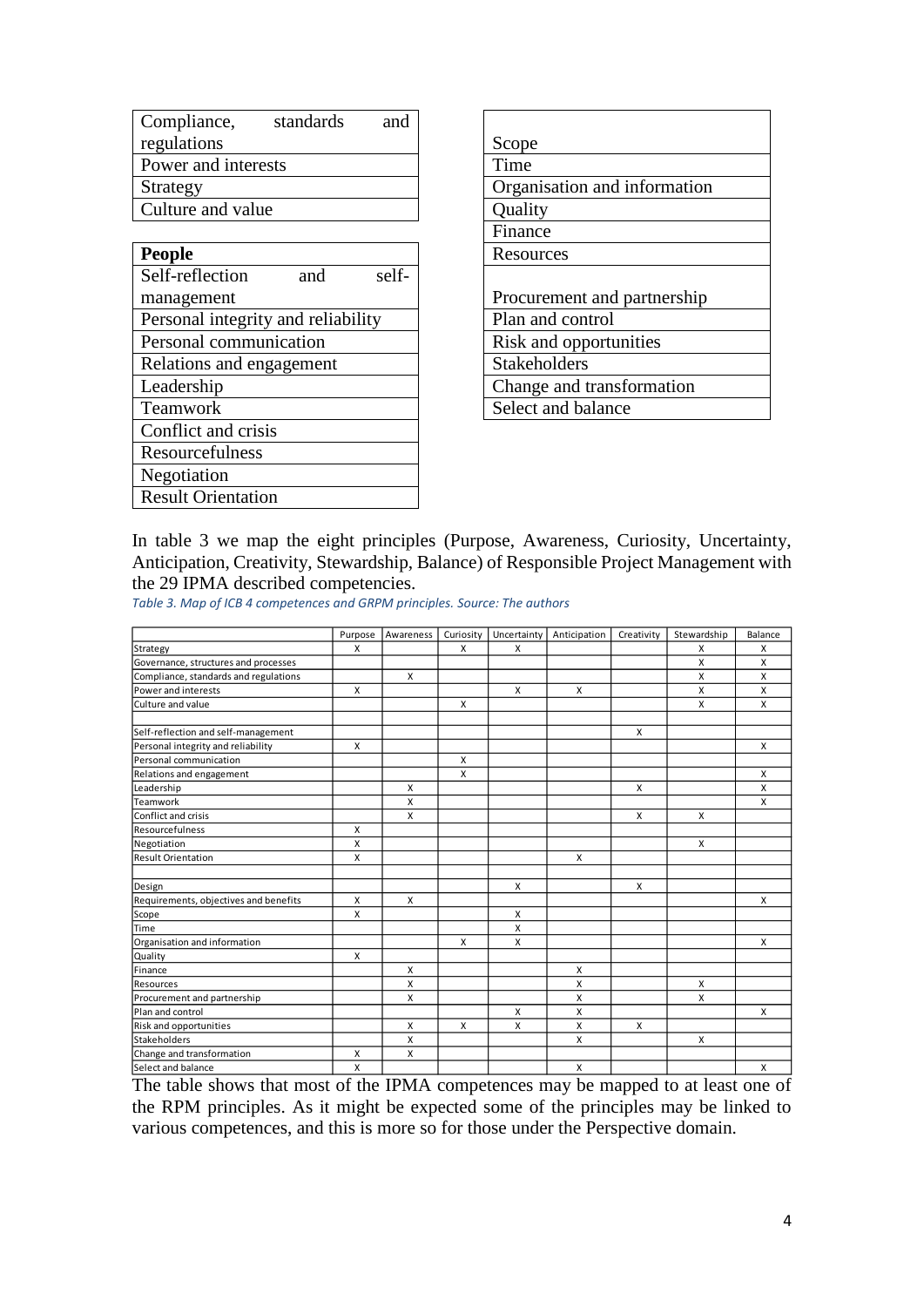| Compliance,<br>standards | and |                              |
|--------------------------|-----|------------------------------|
| regulations              |     | Scope                        |
| Power and interests      |     | Time                         |
| Strategy                 |     | Organisation and information |
| Culture and value        |     | Quality                      |
|                          |     |                              |

| <b>People</b>                      | Resources                   |
|------------------------------------|-----------------------------|
| Self-reflection<br>self-<br>and    |                             |
| management                         | Procurement and partnership |
| Personal integrity and reliability | Plan and control            |
| Personal communication             | Risk and opportunities      |
| Relations and engagement           | Stakeholders                |
| Leadership                         | Change and transformation   |
| Teamwork                           | Select and balance          |
| Conflict and crisis                |                             |
| Resourcefulness                    |                             |
| Negotiation                        |                             |
| <b>Result Orientation</b>          |                             |

| Scope                        |
|------------------------------|
| Time                         |
| Organisation and information |
| Quality                      |
| Finance                      |
| Resources                    |
|                              |
| Procurement and partnership  |
| Plan and control             |
| Risk and opportunities       |
| <b>Stakeholders</b>          |
| Change and transformation    |
| Select and balance           |
|                              |

In table 3 we map the eight principles (Purpose, Awareness, Curiosity, Uncertainty, Anticipation, Creativity, Stewardship, Balance) of Responsible Project Management with the 29 IPMA described competencies.

*Table 3. Map of ICB 4 competences and GRPM principles. Source: The authors*

|                                       | Purpose      | Awareness    | Curiosity | Uncertainty  | Anticipation | Creativity | Stewardship | Balance |
|---------------------------------------|--------------|--------------|-----------|--------------|--------------|------------|-------------|---------|
| Strategy                              | X            |              | X         | X            |              |            | х           | X       |
| Governance, structures and processes  |              |              |           |              |              |            | X           | X       |
| Compliance, standards and regulations |              | X            |           |              |              |            | X           | X       |
| Power and interests                   | X            |              |           | $\mathsf{x}$ | X            |            | X           | X       |
| Culture and value                     |              |              | X         |              |              |            | X           | X       |
| Self-reflection and self-management   |              |              |           |              |              | X          |             |         |
| Personal integrity and reliability    | X            |              |           |              |              |            |             | X       |
| Personal communication                |              |              | X         |              |              |            |             |         |
| Relations and engagement              |              |              | X         |              |              |            |             | X       |
| Leadership                            |              | X            |           |              |              | X          |             | X       |
| Teamwork                              |              | X            |           |              |              |            |             | X       |
| Conflict and crisis                   |              | $\mathsf{x}$ |           |              |              | X          | X           |         |
| Resourcefulness                       | $\mathsf{x}$ |              |           |              |              |            |             |         |
| Negotiation                           | X            |              |           |              |              |            | X           |         |
| <b>Result Orientation</b>             | X            |              |           |              | X            |            |             |         |
| Design                                |              |              |           | X            |              | X          |             |         |
| Requirements, objectives and benefits | X            | X            |           |              |              |            |             | X       |
| Scope                                 | $\mathsf{x}$ |              |           | X            |              |            |             |         |
| Time                                  |              |              |           | X            |              |            |             |         |
| Organisation and information          |              |              | X         | X            |              |            |             | X       |
| Quality                               | $\mathsf{x}$ |              |           |              |              |            |             |         |
| Finance                               |              | X            |           |              | X            |            |             |         |
| Resources                             |              | X            |           |              | x            |            | X           |         |
| Procurement and partnership           |              | X            |           |              | X            |            | X           |         |
| Plan and control                      |              |              |           | X            | X            |            |             | X       |
| Risk and opportunities                |              | X            | X         | X            | X            | X          |             |         |
| Stakeholders                          |              | $\mathsf{x}$ |           |              | X            |            | X           |         |
| Change and transformation             | X            | X            |           |              |              |            |             |         |
| Select and balance                    | $\mathsf{x}$ |              |           |              | X            |            |             | X       |

The table shows that most of the IPMA competences may be mapped to at least one of the RPM principles. As it might be expected some of the principles may be linked to various competences, and this is more so for those under the Perspective domain.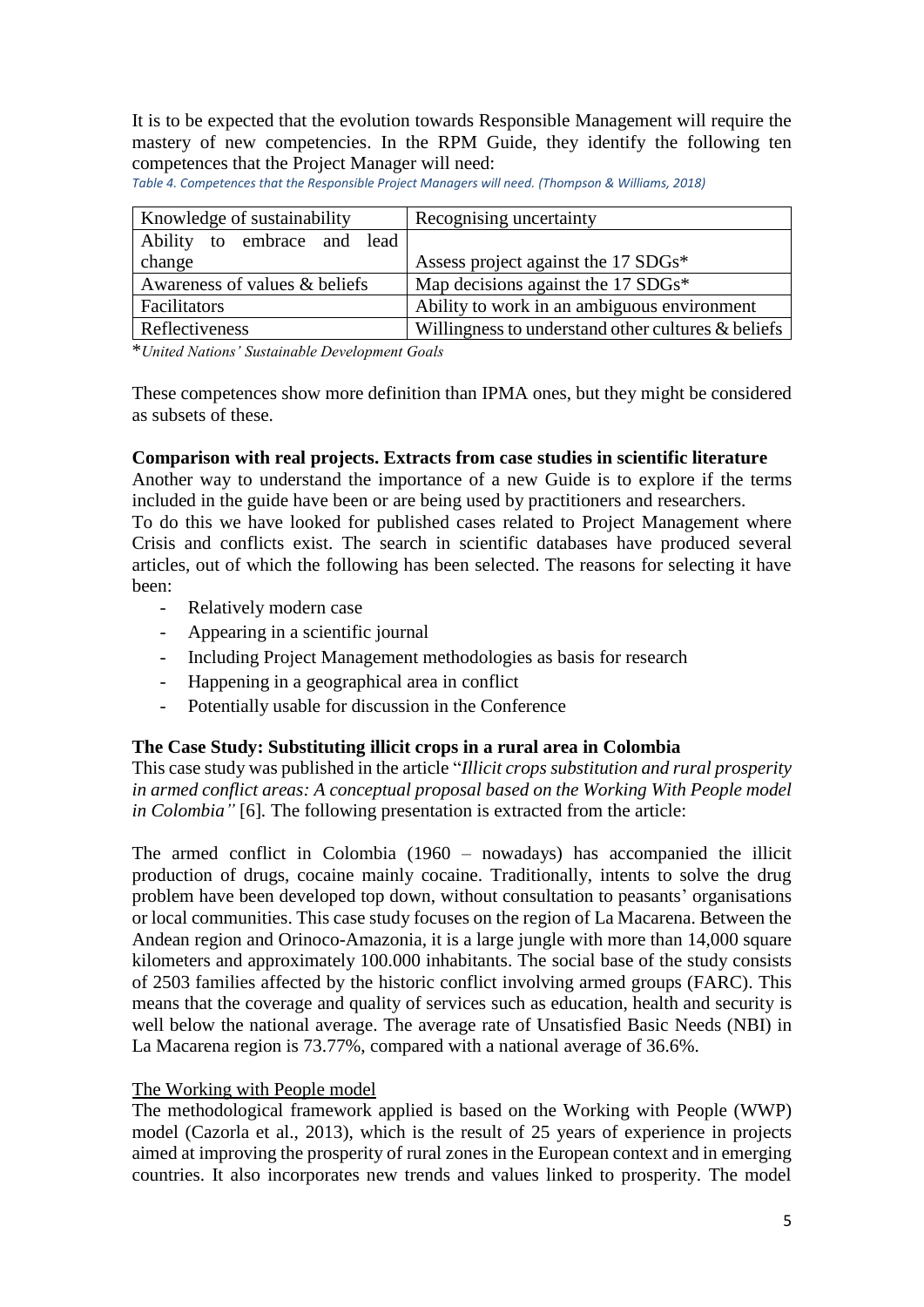It is to be expected that the evolution towards Responsible Management will require the mastery of new competencies. In the RPM Guide, they identify the following ten competences that the Project Manager will need:

Knowledge of sustainability Recognising uncertainty Ability to embrace and lead change Assess project against the 17 SDGs\* Awareness of values & beliefs Map decisions against the 17  $SDGs^*$ Facilitators Ability to work in an ambiguous environment Reflectiveness Willingness to understand other cultures & beliefs

*Table 4. Competences that the Responsible Project Managers will need. (Thompson & Williams, 2018)*

\**United Nations' Sustainable Development Goals*

These competences show more definition than IPMA ones, but they might be considered as subsets of these.

# **Comparison with real projects. Extracts from case studies in scientific literature**

Another way to understand the importance of a new Guide is to explore if the terms included in the guide have been or are being used by practitioners and researchers.

To do this we have looked for published cases related to Project Management where Crisis and conflicts exist. The search in scientific databases have produced several articles, out of which the following has been selected. The reasons for selecting it have been:

- Relatively modern case
- Appearing in a scientific journal
- Including Project Management methodologies as basis for research
- Happening in a geographical area in conflict
- Potentially usable for discussion in the Conference

# **The Case Study: Substituting illicit crops in a rural area in Colombia**

This case study was published in the article "*Illicit crops substitution and rural prosperity in armed conflict areas: A conceptual proposal based on the Working With People model in Colombia"* [6]*.* The following presentation is extracted from the article:

The armed conflict in Colombia (1960 – nowadays) has accompanied the illicit production of drugs, cocaine mainly cocaine. Traditionally, intents to solve the drug problem have been developed top down, without consultation to peasants' organisations or local communities. This case study focuses on the region of La Macarena. Between the Andean region and Orinoco-Amazonia, it is a large jungle with more than 14,000 square kilometers and approximately 100.000 inhabitants. The social base of the study consists of 2503 families affected by the historic conflict involving armed groups (FARC). This means that the coverage and quality of services such as education, health and security is well below the national average. The average rate of Unsatisfied Basic Needs (NBI) in La Macarena region is 73.77%, compared with a national average of 36.6%.

#### The Working with People model

The methodological framework applied is based on the Working with People (WWP) model (Cazorla et al., 2013), which is the result of 25 years of experience in projects aimed at improving the prosperity of rural zones in the European context and in emerging countries. It also incorporates new trends and values linked to prosperity. The model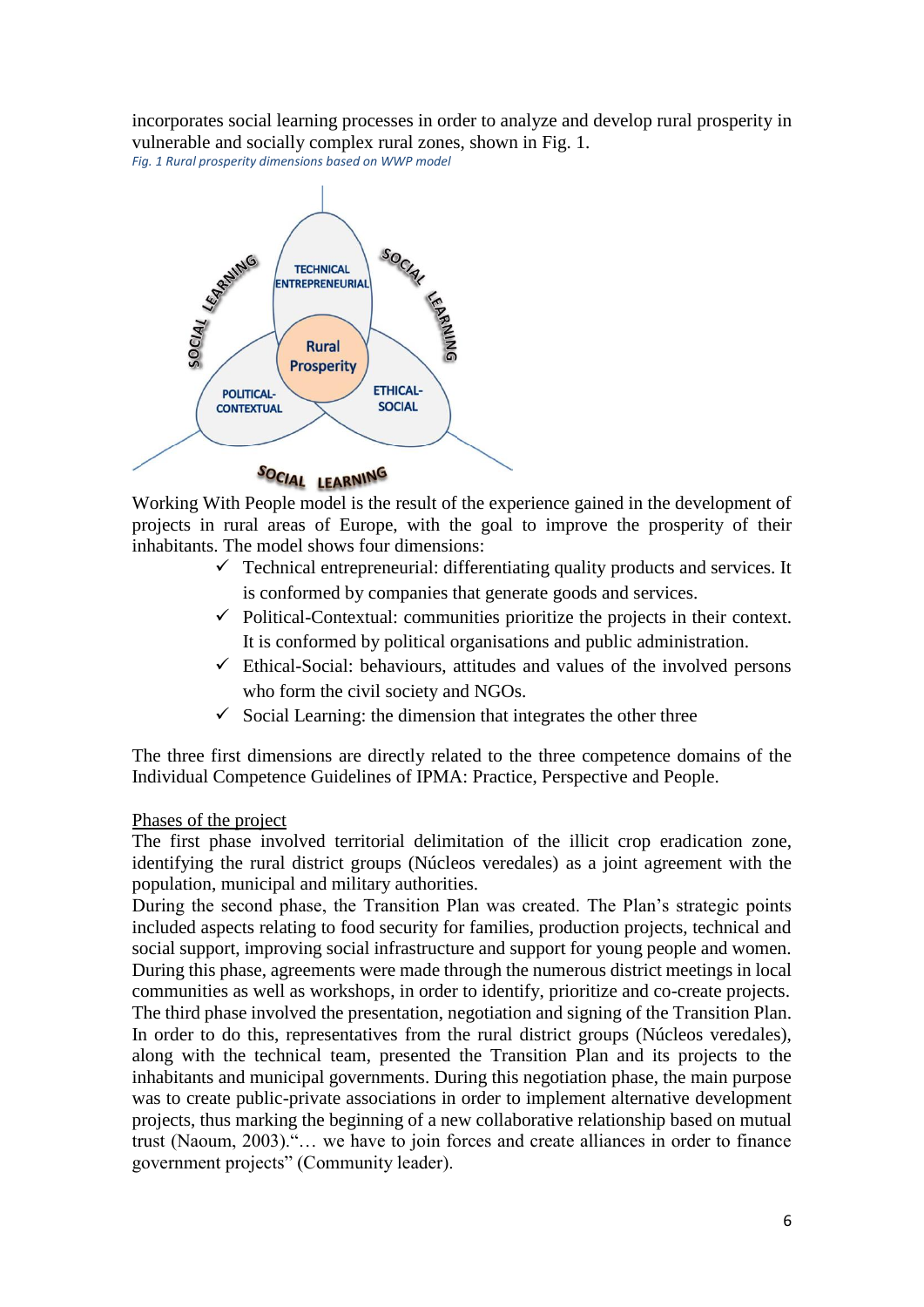incorporates social learning processes in order to analyze and develop rural prosperity in vulnerable and socially complex rural zones, shown in Fig. 1.

*Fig. 1 Rural prosperity dimensions based on WWP model*



# SOCIAL LEARNING

Working With People model is the result of the experience gained in the development of projects in rural areas of Europe, with the goal to improve the prosperity of their inhabitants. The model shows four dimensions:

- $\checkmark$  Technical entrepreneurial: differentiating quality products and services. It is conformed by companies that generate goods and services.
- $\checkmark$  Political-Contextual: communities prioritize the projects in their context. It is conformed by political organisations and public administration.
- $\checkmark$  Ethical-Social: behaviours, attitudes and values of the involved persons who form the civil society and NGOs.
- $\checkmark$  Social Learning: the dimension that integrates the other three

The three first dimensions are directly related to the three competence domains of the Individual Competence Guidelines of IPMA: Practice, Perspective and People.

#### Phases of the project

The first phase involved territorial delimitation of the illicit crop eradication zone, identifying the rural district groups (Núcleos veredales) as a joint agreement with the population, municipal and military authorities.

During the second phase, the Transition Plan was created. The Plan's strategic points included aspects relating to food security for families, production projects, technical and social support, improving social infrastructure and support for young people and women. During this phase, agreements were made through the numerous district meetings in local communities as well as workshops, in order to identify, prioritize and co-create projects. The third phase involved the presentation, negotiation and signing of the Transition Plan. In order to do this, representatives from the rural district groups (Núcleos veredales), along with the technical team, presented the Transition Plan and its projects to the inhabitants and municipal governments. During this negotiation phase, the main purpose was to create public-private associations in order to implement alternative development projects, thus marking the beginning of a new collaborative relationship based on mutual trust (Naoum, 2003)."… we have to join forces and create alliances in order to finance government projects" (Community leader).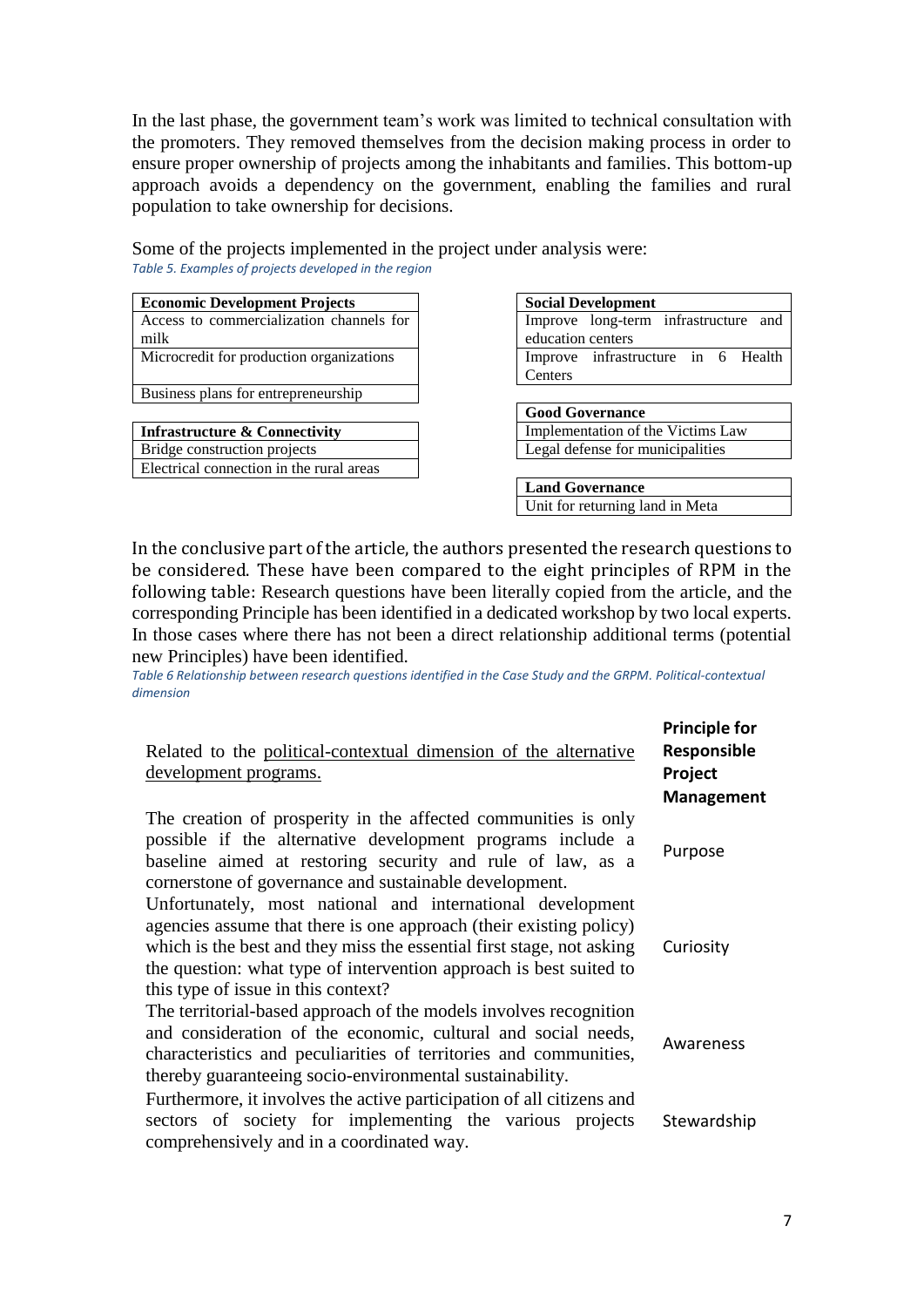In the last phase, the government team's work was limited to technical consultation with the promoters. They removed themselves from the decision making process in order to ensure proper ownership of projects among the inhabitants and families. This bottom-up approach avoids a dependency on the government, enabling the families and rural population to take ownership for decisions.

Some of the projects implemented in the project under analysis were: *Table 5. Examples of projects developed in the region*

| <b>Economic Development Projects</b>     |                   | <b>Social Development</b>            |  |  |
|------------------------------------------|-------------------|--------------------------------------|--|--|
| Access to commercialization channels for |                   | Improve long-term infrastructure and |  |  |
| milk                                     | education centers |                                      |  |  |
| Microcredit for production organizations |                   | Improve infrastructure in 6 Health   |  |  |
|                                          |                   |                                      |  |  |

Business plans for entrepreneurship

| <b>Infrastructure &amp; Connectivity</b> |
|------------------------------------------|
| Bridge construction projects             |
| Electrical connection in the rural areas |

|                        | <b>Social Development</b>            |  |  |  |  |
|------------------------|--------------------------------------|--|--|--|--|
|                        | Improve long-term infrastructure and |  |  |  |  |
| education centers      |                                      |  |  |  |  |
|                        | Improve infrastructure in 6 Health   |  |  |  |  |
| Centers                |                                      |  |  |  |  |
|                        |                                      |  |  |  |  |
| <b>Good Governance</b> |                                      |  |  |  |  |
|                        |                                      |  |  |  |  |

**Implementation of the Victims Law** Legal defense for municipalities

**Land Governance** Unit for returning land in Meta

In the conclusive part of the article, the authors presented the research questions to be considered. These have been compared to the eight principles of RPM in the following table: Research questions have been literally copied from the article, and the corresponding Principle has been identified in a dedicated workshop by two local experts. In those cases where there has not been a direct relationship additional terms (potential new Principles) have been identified.

*Table 6 Relationship between research questions identified in the Case Study and the GRPM. Political-contextual dimension*

| Related to the political-contextual dimension of the alternative<br>development programs.                                                                                                                                                                                                                              | <b>Principle for</b><br>Responsible<br>Project<br>Management |
|------------------------------------------------------------------------------------------------------------------------------------------------------------------------------------------------------------------------------------------------------------------------------------------------------------------------|--------------------------------------------------------------|
| The creation of prosperity in the affected communities is only<br>possible if the alternative development programs include a<br>baseline aimed at restoring security and rule of law, as a<br>cornerstone of governance and sustainable development.                                                                   | Purpose                                                      |
| Unfortunately, most national and international development<br>agencies assume that there is one approach (their existing policy)<br>which is the best and they miss the essential first stage, not asking<br>the question: what type of intervention approach is best suited to<br>this type of issue in this context? | Curiosity                                                    |
| The territorial-based approach of the models involves recognition<br>and consideration of the economic, cultural and social needs,<br>characteristics and peculiarities of territories and communities,<br>thereby guaranteeing socio-environmental sustainability.                                                    | Awareness                                                    |
| Furthermore, it involves the active participation of all citizens and<br>sectors of society for implementing the various projects<br>comprehensively and in a coordinated way.                                                                                                                                         | Stewardship                                                  |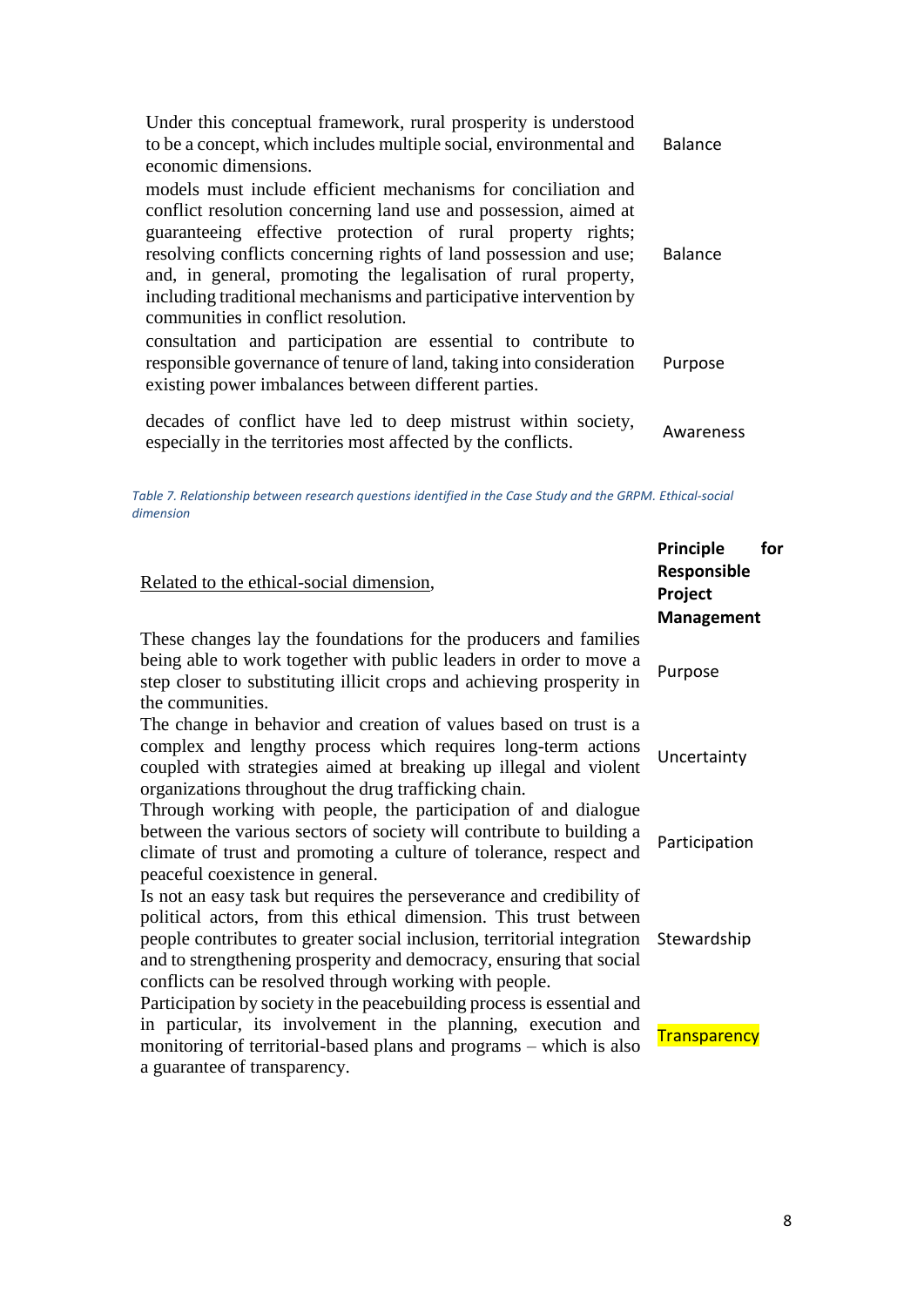| Under this conceptual framework, rural prosperity is understood<br>to be a concept, which includes multiple social, environmental and<br>economic dimensions.                                                                                                                                                                                                                                                                                        | <b>Balance</b> |
|------------------------------------------------------------------------------------------------------------------------------------------------------------------------------------------------------------------------------------------------------------------------------------------------------------------------------------------------------------------------------------------------------------------------------------------------------|----------------|
| models must include efficient mechanisms for conciliation and<br>conflict resolution concerning land use and possession, aimed at<br>guaranteeing effective protection of rural property rights;<br>resolving conflicts concerning rights of land possession and use;<br>and, in general, promoting the legalisation of rural property,<br>including traditional mechanisms and participative intervention by<br>communities in conflict resolution. | <b>Balance</b> |
| consultation and participation are essential to contribute to<br>responsible governance of tenure of land, taking into consideration<br>existing power imbalances between different parties.                                                                                                                                                                                                                                                         | Purpose        |
| decades of conflict have led to deep mistrust within society,<br>especially in the territories most affected by the conflicts.                                                                                                                                                                                                                                                                                                                       | Awareness      |

*Table 7. Relationship between research questions identified in the Case Study and the GRPM. Ethical-social dimension*

|                                                                                                                                                                                                                                                                                                                                                       | <b>Principle</b><br>Responsible | for |
|-------------------------------------------------------------------------------------------------------------------------------------------------------------------------------------------------------------------------------------------------------------------------------------------------------------------------------------------------------|---------------------------------|-----|
| Related to the ethical-social dimension,                                                                                                                                                                                                                                                                                                              | Project                         |     |
|                                                                                                                                                                                                                                                                                                                                                       | <b>Management</b>               |     |
| These changes lay the foundations for the producers and families<br>being able to work together with public leaders in order to move a<br>step closer to substituting illicit crops and achieving prosperity in<br>the communities.                                                                                                                   | Purpose                         |     |
| The change in behavior and creation of values based on trust is a<br>complex and lengthy process which requires long-term actions<br>coupled with strategies aimed at breaking up illegal and violent<br>organizations throughout the drug trafficking chain.                                                                                         | Uncertainty                     |     |
| Through working with people, the participation of and dialogue<br>between the various sectors of society will contribute to building a<br>climate of trust and promoting a culture of tolerance, respect and<br>peaceful coexistence in general.                                                                                                      | Participation                   |     |
| Is not an easy task but requires the perseverance and credibility of<br>political actors, from this ethical dimension. This trust between<br>people contributes to greater social inclusion, territorial integration<br>and to strengthening prosperity and democracy, ensuring that social<br>conflicts can be resolved through working with people. | Stewardship                     |     |
| Participation by society in the peacebuilding process is essential and<br>in particular, its involvement in the planning, execution and<br>monitoring of territorial-based plans and programs – which is also<br>a guarantee of transparency.                                                                                                         | <b>Transparency</b>             |     |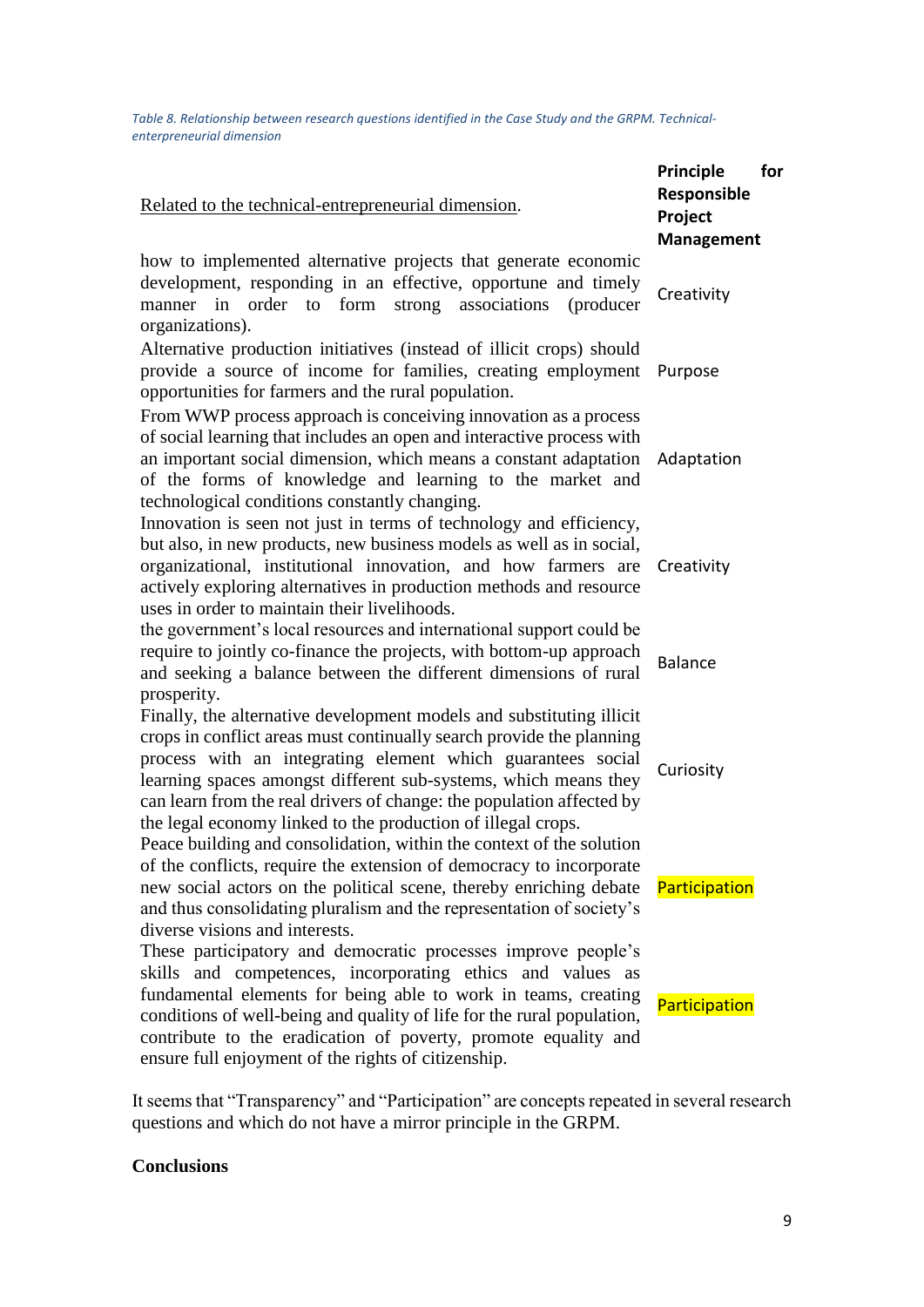*Table 8. Relationship between research questions identified in the Case Study and the GRPM. Technicalenterpreneurial dimension*

| Related to the technical-entrepreneurial dimension.                                                                                                                                                                                                                                                                                                                                                                                                                                             | Principle<br>for<br>Responsible<br>Project<br><b>Management</b> |
|-------------------------------------------------------------------------------------------------------------------------------------------------------------------------------------------------------------------------------------------------------------------------------------------------------------------------------------------------------------------------------------------------------------------------------------------------------------------------------------------------|-----------------------------------------------------------------|
| how to implemented alternative projects that generate economic<br>development, responding in an effective, opportune and timely<br>manner in order to form<br>strong associations<br>(producer<br>organizations).                                                                                                                                                                                                                                                                               | Creativity                                                      |
| Alternative production initiatives (instead of illicit crops) should<br>provide a source of income for families, creating employment<br>opportunities for farmers and the rural population.                                                                                                                                                                                                                                                                                                     | Purpose                                                         |
| From WWP process approach is conceiving innovation as a process<br>of social learning that includes an open and interactive process with<br>an important social dimension, which means a constant adaptation<br>of the forms of knowledge and learning to the market and<br>technological conditions constantly changing.                                                                                                                                                                       | Adaptation                                                      |
| Innovation is seen not just in terms of technology and efficiency,<br>but also, in new products, new business models as well as in social,<br>organizational, institutional innovation, and how farmers are<br>actively exploring alternatives in production methods and resource<br>uses in order to maintain their livelihoods.                                                                                                                                                               | Creativity                                                      |
| the government's local resources and international support could be<br>require to jointly co-finance the projects, with bottom-up approach<br>and seeking a balance between the different dimensions of rural<br>prosperity.                                                                                                                                                                                                                                                                    | <b>Balance</b>                                                  |
| Finally, the alternative development models and substituting illicit<br>crops in conflict areas must continually search provide the planning<br>process with an integrating element which guarantees social<br>learning spaces amongst different sub-systems, which means they<br>can learn from the real drivers of change: the population affected by<br>the legal economy linked to the production of illegal crops.<br>Peace building and consolidation, within the context of the solution | Curiosity                                                       |
| of the conflicts, require the extension of democracy to incorporate<br>new social actors on the political scene, thereby enriching debate<br>and thus consolidating pluralism and the representation of society's<br>diverse visions and interests.                                                                                                                                                                                                                                             | Participation                                                   |
| These participatory and democratic processes improve people's<br>skills and competences, incorporating ethics and values as<br>fundamental elements for being able to work in teams, creating<br>conditions of well-being and quality of life for the rural population,<br>contribute to the eradication of poverty, promote equality and<br>ensure full enjoyment of the rights of citizenship.                                                                                                | Participation                                                   |

It seems that "Transparency" and "Participation" are concepts repeated in several research questions and which do not have a mirror principle in the GRPM.

# **Conclusions**